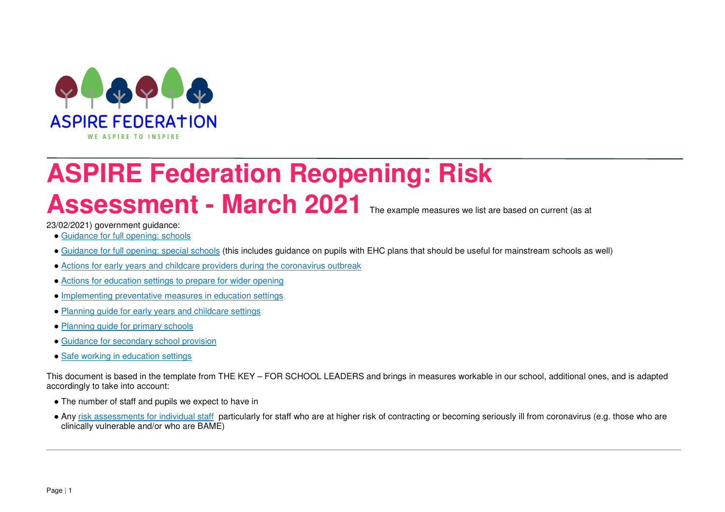

## **ASPIRE Federation Reopening: Risk** Assessment - March 2021 The example measures we list are based on current (as at

23/02/2021) government guidance:

- Guidance for full opening: schools
- Guidance for full opening: special schools (this includes guidance on pupils with EHC plans that should be useful for mainstream schools as well)
- Actions for early years and childcare providers during the coronavirus outbreak
- Actions for education settings to prepare for wider opening
- Implementing preventative measures in education settings
- Planning guide for early years and childcare settings
- Planning guide for primary schools
- Guidance for secondary school provision
- Safe working in education settings

This document is based in the template from THE KEY – FOR SCHOOL LEADERS and brings in measures workable in our school, additional ones, and is adapted accordingly to take into account:

- The number of staff and pupils we expect to have in
- Any <u>risk assessments for individual staff</u> particularly for staff who are at higher risk of contracting or becoming seriously ill from coronavirus (e.g. those who are clinically vulnerable and/or who are BAME)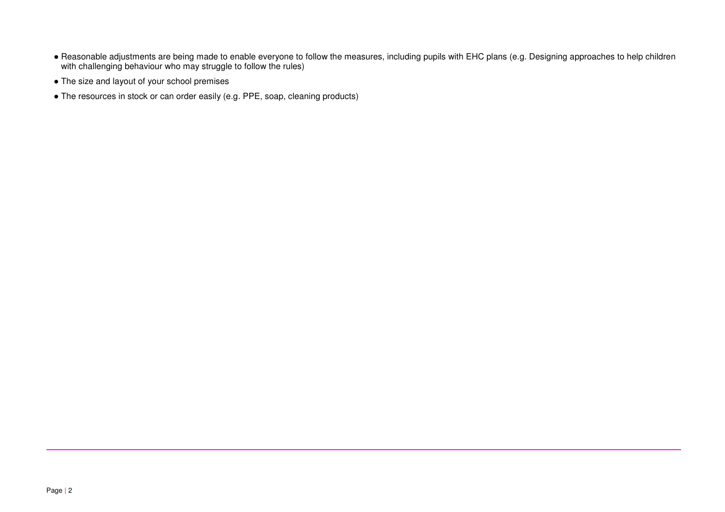- Reasonable adjustments are being made to enable everyone to follow the measures, including pupils with EHC plans (e.g. Designing approaches to help children with challenging behaviour who may struggle to follow the rules)
- The size and layout of your school premises
- The resources in stock or can order easily (e.g. PPE, soap, cleaning products)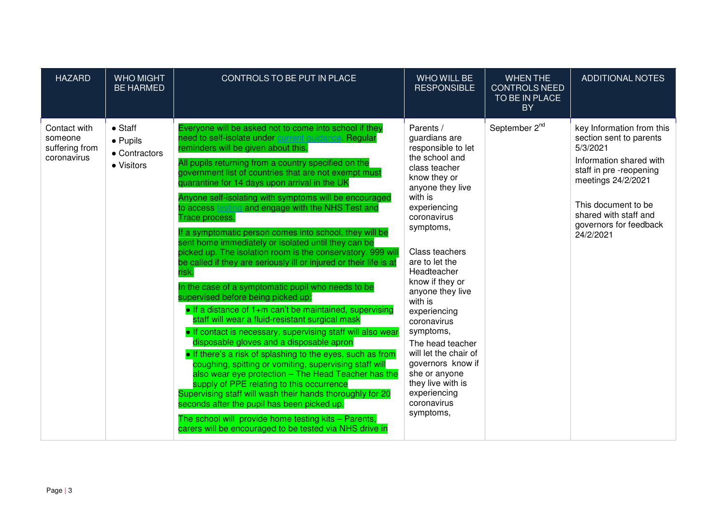| <b>HAZARD</b>                                            | <b>WHO MIGHT</b><br><b>BE HARMED</b>                               | CONTROLS TO BE PUT IN PLACE                                                                                                                                                                                                                                                                                                                                                                                                                                                                                                                                                                                                                                                                                                                                                                                                                                                                                                                                                                                                                                                                                                                                                                                                                                                                                                                                                                                                                                                                                     | WHO WILL BE<br><b>RESPONSIBLE</b>                                                                                                                                                                                                                                                                                                                                                                                                                                                   | <b>WHEN THE</b><br><b>CONTROLS NEED</b><br>TO BE IN PLACE<br><b>BY</b> | <b>ADDITIONAL NOTES</b>                                                                                                                                                                                                            |
|----------------------------------------------------------|--------------------------------------------------------------------|-----------------------------------------------------------------------------------------------------------------------------------------------------------------------------------------------------------------------------------------------------------------------------------------------------------------------------------------------------------------------------------------------------------------------------------------------------------------------------------------------------------------------------------------------------------------------------------------------------------------------------------------------------------------------------------------------------------------------------------------------------------------------------------------------------------------------------------------------------------------------------------------------------------------------------------------------------------------------------------------------------------------------------------------------------------------------------------------------------------------------------------------------------------------------------------------------------------------------------------------------------------------------------------------------------------------------------------------------------------------------------------------------------------------------------------------------------------------------------------------------------------------|-------------------------------------------------------------------------------------------------------------------------------------------------------------------------------------------------------------------------------------------------------------------------------------------------------------------------------------------------------------------------------------------------------------------------------------------------------------------------------------|------------------------------------------------------------------------|------------------------------------------------------------------------------------------------------------------------------------------------------------------------------------------------------------------------------------|
| Contact with<br>someone<br>suffering from<br>coronavirus | $\bullet$ Staff<br>$\bullet$ Pupils<br>• Contractors<br>• Visitors | Everyone will be asked not to come into school if they<br>need to self-isolate under current quidance. Regular<br>reminders will be given about this.<br>All pupils returning from a country specified on the<br>government list of countries that are not exempt must<br>quarantine for 14 days upon arrival in the UK<br>Anyone self-isolating with symptoms will be encouraged<br>to access testing and engage with the NHS Test and<br>Trace process.<br>If a symptomatic person comes into school, they will be<br>sent home immediately or isolated until they can be<br>picked up. The isolation room is the conservatory. 999 wil<br>be called if they are seriously ill or injured or their life is at<br>isk.<br>In the case of a symptomatic pupil who needs to be<br>supervised before being picked up:<br>$\bullet$ If a distance of 1+m can't be maintained, supervising<br>staff will wear a fluid-resistant surgical mask<br>. If contact is necessary, supervising staff will also wear<br>disposable gloves and a disposable apron<br>• If there's a risk of splashing to the eyes, such as from<br>coughing, spitting or vomiting, supervising staff will<br>also wear eye protection - The Head Teacher has the<br>supply of PPE relating to this occurrence<br>Supervising staff will wash their hands thoroughly for 20<br>seconds after the pupil has been picked up.<br>The school will provide home testing kits - Parents,<br>carers will be encouraged to be tested via NHS drive in | Parents /<br>guardians are<br>responsible to let<br>the school and<br>class teacher<br>know they or<br>anyone they live<br>with is<br>experiencing<br>coronavirus<br>symptoms,<br>Class teachers<br>are to let the<br>Headteacher<br>know if they or<br>anyone they live<br>with is<br>experiencing<br>coronavirus<br>symptoms,<br>The head teacher<br>will let the chair of<br>governors know if<br>she or anyone<br>they live with is<br>experiencing<br>coronavirus<br>symptoms, | September 2 <sup>nd</sup>                                              | key Information from this<br>section sent to parents<br>5/3/2021<br>Information shared with<br>staff in pre-reopening<br>meetings 24/2/2021<br>This document to be<br>shared with staff and<br>governors for feedback<br>24/2/2021 |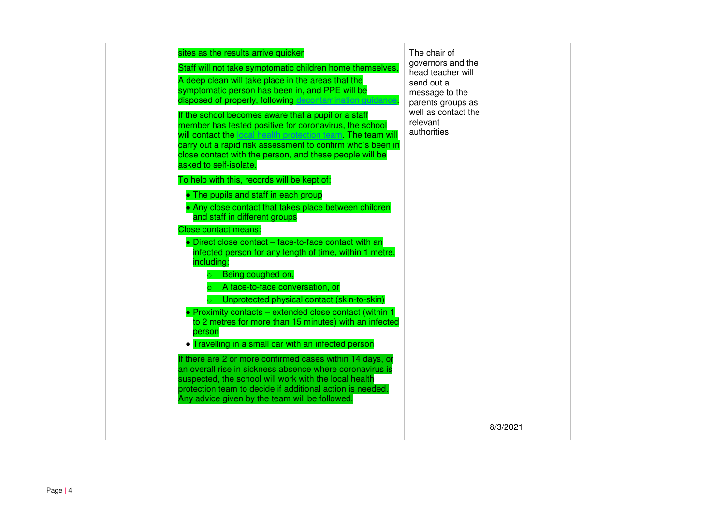|  | sites as the results arrive quicker<br>Staff will not take symptomatic children home themselves,<br>A deep clean will take place in the areas that the<br>symptomatic person has been in, and PPE will be<br>disposed of properly, following decontamination guida<br>If the school becomes aware that a pupil or a staff<br>member has tested positive for coronavirus, the school<br>will contact the local health protection team. The team will<br>carry out a rapid risk assessment to confirm who's been in<br>close contact with the person, and these people will be<br>asked to self-isolate.<br>To help with this, records will be kept of:<br>• The pupils and staff in each group<br>• Any close contact that takes place between children<br>and staff in different groups<br><b>Close contact means:</b><br>• Direct close contact – face-to-face contact with an<br>infected person for any length of time, within 1 metre,<br>including:<br>Being coughed on,<br>A face-to-face conversation, or<br>Unprotected physical contact (skin-to-skin)<br>• Proximity contacts – extended close contact (within 1<br>to 2 metres for more than 15 minutes) with an infected<br>person<br>• Travelling in a small car with an infected person<br>If there are 2 or more confirmed cases within 14 days, or<br>an overall rise in sickness absence where coronavirus is<br>suspected, the school will work with the local health<br>protection team to decide if additional action is needed.<br>Any advice given by the team will be followed. | The chair of<br>governors and the<br>head teacher will<br>send out a<br>message to the<br>parents groups as<br>well as contact the<br>relevant<br>authorities |          |  |
|--|--------------------------------------------------------------------------------------------------------------------------------------------------------------------------------------------------------------------------------------------------------------------------------------------------------------------------------------------------------------------------------------------------------------------------------------------------------------------------------------------------------------------------------------------------------------------------------------------------------------------------------------------------------------------------------------------------------------------------------------------------------------------------------------------------------------------------------------------------------------------------------------------------------------------------------------------------------------------------------------------------------------------------------------------------------------------------------------------------------------------------------------------------------------------------------------------------------------------------------------------------------------------------------------------------------------------------------------------------------------------------------------------------------------------------------------------------------------------------------------------------------------------------------------------------------|---------------------------------------------------------------------------------------------------------------------------------------------------------------|----------|--|
|  |                                                                                                                                                                                                                                                                                                                                                                                                                                                                                                                                                                                                                                                                                                                                                                                                                                                                                                                                                                                                                                                                                                                                                                                                                                                                                                                                                                                                                                                                                                                                                        |                                                                                                                                                               | 8/3/2021 |  |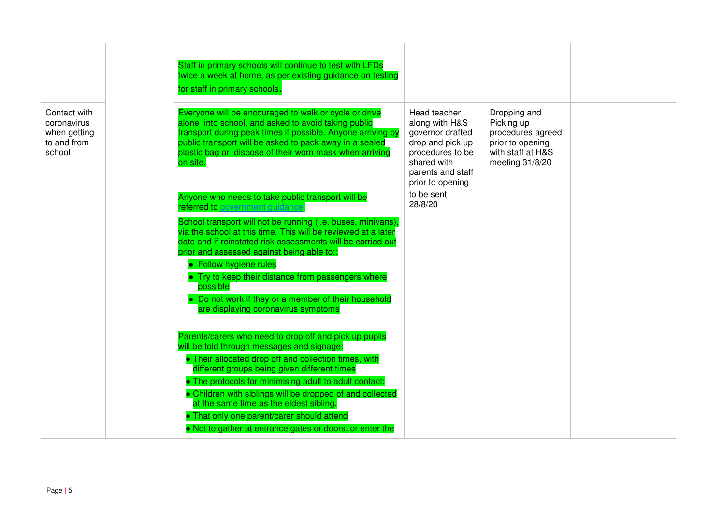|                                                                      | Staff in primary schools will continue to test with LFDs<br>twice a week at home, as per existing guidance on testing<br>for staff in primary schools.                                                                                                                                                                                                                                                                                |                                                                                                                                                    |                                                                                                             |  |
|----------------------------------------------------------------------|---------------------------------------------------------------------------------------------------------------------------------------------------------------------------------------------------------------------------------------------------------------------------------------------------------------------------------------------------------------------------------------------------------------------------------------|----------------------------------------------------------------------------------------------------------------------------------------------------|-------------------------------------------------------------------------------------------------------------|--|
| Contact with<br>coronavirus<br>when getting<br>to and from<br>school | Everyone will be encouraged to walk or cycle or drive<br>alone into school, and asked to avoid taking public<br>transport during peak times if possible. Anyone arriving by<br>public transport will be asked to pack away in a sealed<br>plastic bag or dispose of their worn mask when arriving<br>on site.                                                                                                                         | Head teacher<br>along with H&S<br>governor drafted<br>drop and pick up<br>procedures to be<br>shared with<br>parents and staff<br>prior to opening | Dropping and<br>Picking up<br>procedures agreed<br>prior to opening<br>with staff at H&S<br>meeting 31/8/20 |  |
|                                                                      | Anyone who needs to take public transport will be<br>referred to government guidance.                                                                                                                                                                                                                                                                                                                                                 | to be sent<br>28/8/20                                                                                                                              |                                                                                                             |  |
|                                                                      | School transport will not be running (i.e. buses, minivans),<br>via the school at this time. This will be reviewed at a later<br>date and if reinstated risk assessments will be carried out<br>prior and assessed against being able to::<br>• Follow hygiene rules<br>• Try to keep their distance from passengers where<br>possible<br>• Do not work if they or a member of their household<br>are displaying coronavirus symptoms |                                                                                                                                                    |                                                                                                             |  |
|                                                                      | Parents/carers who need to drop off and pick up pupils<br>will be told through messages and signage:<br>• Their allocated drop off and collection times, with<br>different groups being given different times                                                                                                                                                                                                                         |                                                                                                                                                    |                                                                                                             |  |
|                                                                      | • The protocols for minimising adult to adult contact:<br>• Children with siblings will be dropped of and collected<br>at the same time as the eldest sibling.<br>• That only one parent/carer should attend<br>. Not to gather at entrance gates or doors, or enter the                                                                                                                                                              |                                                                                                                                                    |                                                                                                             |  |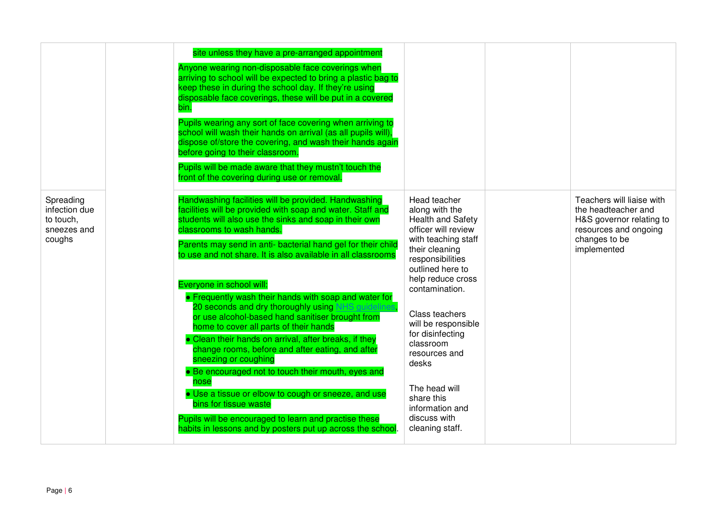|                                                                  | site unless they have a pre-arranged appointment<br>Anyone wearing non-disposable face coverings when<br>arriving to school will be expected to bring a plastic bag to<br>keep these in during the school day. If they're using<br>disposable face coverings, these will be put in a covered<br>bin.<br>Pupils wearing any sort of face covering when arriving to<br>school will wash their hands on arrival (as all pupils will),<br>dispose of/store the covering, and wash their hands again<br>before going to their classroom.<br>Pupils will be made aware that they mustn't touch the<br>front of the covering during use or removal.                                                                                                                                                                                                                                                                                                                                                 |                                                                                                                                                                                                                                                                                                                                                                                             |                                                                                                                                       |
|------------------------------------------------------------------|----------------------------------------------------------------------------------------------------------------------------------------------------------------------------------------------------------------------------------------------------------------------------------------------------------------------------------------------------------------------------------------------------------------------------------------------------------------------------------------------------------------------------------------------------------------------------------------------------------------------------------------------------------------------------------------------------------------------------------------------------------------------------------------------------------------------------------------------------------------------------------------------------------------------------------------------------------------------------------------------|---------------------------------------------------------------------------------------------------------------------------------------------------------------------------------------------------------------------------------------------------------------------------------------------------------------------------------------------------------------------------------------------|---------------------------------------------------------------------------------------------------------------------------------------|
| Spreading<br>infection due<br>to touch,<br>sneezes and<br>coughs | Handwashing facilities will be provided. Handwashing<br>facilities will be provided with soap and water. Staff and<br>students will also use the sinks and soap in their own<br>classrooms to wash hands.<br>Parents may send in anti- bacterial hand gel for their child<br>to use and not share. It is also available in all classrooms<br>Everyone in school will:<br>• Frequently wash their hands with soap and water for<br>20 seconds and dry thoroughly using NHS guidelines<br>or use alcohol-based hand sanitiser brought from<br>home to cover all parts of their hands<br>• Clean their hands on arrival, after breaks, if they<br>change rooms, before and after eating, and after<br>sneezing or coughing<br>• Be encouraged not to touch their mouth, eyes and<br>nose<br>· Use a tissue or elbow to cough or sneeze, and use<br>bins for tissue waste<br>Pupils will be encouraged to learn and practise these<br>habits in lessons and by posters put up across the school. | Head teacher<br>along with the<br>Health and Safety<br>officer will review<br>with teaching staff<br>their cleaning<br>responsibilities<br>outlined here to<br>help reduce cross<br>contamination.<br>Class teachers<br>will be responsible<br>for disinfecting<br>classroom<br>resources and<br>desks<br>The head will<br>share this<br>information and<br>discuss with<br>cleaning staff. | Teachers will liaise with<br>the headteacher and<br>H&S governor relating to<br>resources and ongoing<br>changes to be<br>implemented |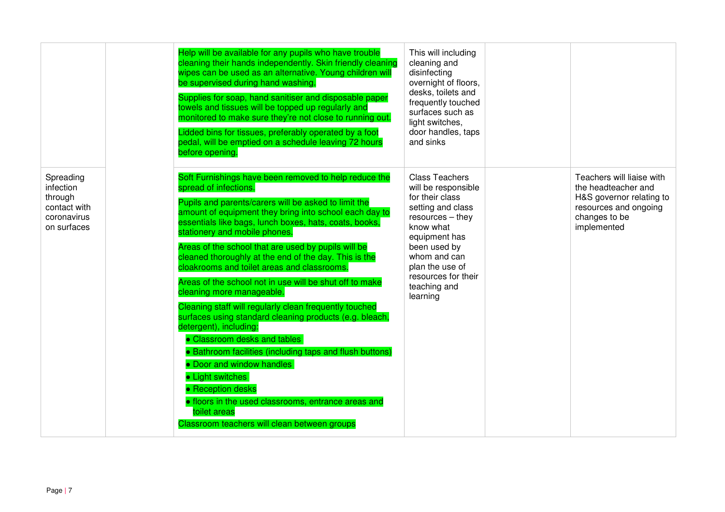|                                                                                 | Help will be available for any pupils who have trouble<br>cleaning their hands independently. Skin friendly cleaning<br>wipes can be used as an alternative. Young children will<br>be supervised during hand washing.<br>Supplies for soap, hand sanitiser and disposable paper<br>towels and tissues will be topped up regularly and<br>monitored to make sure they're not close to running out.<br>Lidded bins for tissues, preferably operated by a foot<br>pedal, will be emptied on a schedule leaving 72 hours<br>before opening.                                                                                                                                                                                                                                                                                                                                                                                                                                                          | This will including<br>cleaning and<br>disinfecting<br>overnight of floors,<br>desks, toilets and<br>frequently touched<br>surfaces such as<br>light switches,<br>door handles, taps<br>and sinks                                              |                                                                                                                                       |
|---------------------------------------------------------------------------------|---------------------------------------------------------------------------------------------------------------------------------------------------------------------------------------------------------------------------------------------------------------------------------------------------------------------------------------------------------------------------------------------------------------------------------------------------------------------------------------------------------------------------------------------------------------------------------------------------------------------------------------------------------------------------------------------------------------------------------------------------------------------------------------------------------------------------------------------------------------------------------------------------------------------------------------------------------------------------------------------------|------------------------------------------------------------------------------------------------------------------------------------------------------------------------------------------------------------------------------------------------|---------------------------------------------------------------------------------------------------------------------------------------|
| Spreading<br>infection<br>through<br>contact with<br>coronavirus<br>on surfaces | Soft Furnishings have been removed to help reduce the<br>spread of infections.<br>Pupils and parents/carers will be asked to limit the<br>amount of equipment they bring into school each day to<br>essentials like bags, lunch boxes, hats, coats, books,<br>stationery and mobile phones.<br>Areas of the school that are used by pupils will be<br>cleaned thoroughly at the end of the day. This is the<br>cloakrooms and toilet areas and classrooms.<br>Areas of the school not in use will be shut off to make<br>cleaning more manageable.<br>Cleaning staff will regularly clean frequently touched<br>surfaces using standard cleaning products (e.g. bleach,<br>detergent), including:<br>• Classroom desks and tables<br>• Bathroom facilities (including taps and flush buttons)<br>• Door and window handles<br>• Light switches<br>• Reception desks<br><b>.</b> floors in the used classrooms, entrance areas and<br>toilet areas<br>Classroom teachers will clean between groups | <b>Class Teachers</b><br>will be responsible<br>for their class<br>setting and class<br>$resources - they$<br>know what<br>equipment has<br>been used by<br>whom and can<br>plan the use of<br>resources for their<br>teaching and<br>learning | Teachers will liaise with<br>the headteacher and<br>H&S governor relating to<br>resources and ongoing<br>changes to be<br>implemented |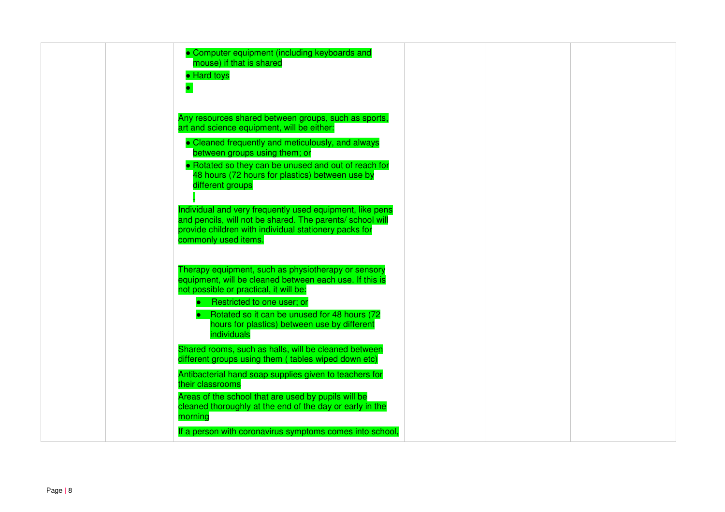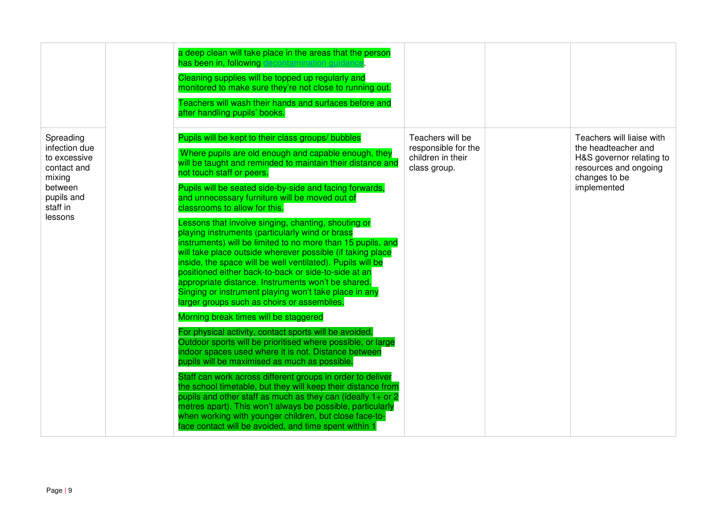|                                                                                                                     | a deep clean will take place in the areas that the person<br>has been in, following decontamination quidance<br>Cleaning supplies will be topped up regularly and<br>monitored to make sure they're not close to running out.<br>Teachers will wash their hands and surfaces before and<br>after handling pupils' books.                                                                                                                                                                                                                                                                                                                                                                                                                                                                                                                                                                                                                                                                                                                                                                                                                                                                                                                                                                                                                                                                                                                                                                                                                |                                                                              |                                                                                                                                       |
|---------------------------------------------------------------------------------------------------------------------|-----------------------------------------------------------------------------------------------------------------------------------------------------------------------------------------------------------------------------------------------------------------------------------------------------------------------------------------------------------------------------------------------------------------------------------------------------------------------------------------------------------------------------------------------------------------------------------------------------------------------------------------------------------------------------------------------------------------------------------------------------------------------------------------------------------------------------------------------------------------------------------------------------------------------------------------------------------------------------------------------------------------------------------------------------------------------------------------------------------------------------------------------------------------------------------------------------------------------------------------------------------------------------------------------------------------------------------------------------------------------------------------------------------------------------------------------------------------------------------------------------------------------------------------|------------------------------------------------------------------------------|---------------------------------------------------------------------------------------------------------------------------------------|
| Spreading<br>infection due<br>to excessive<br>contact and<br>mixing<br>between<br>pupils and<br>staff in<br>lessons | Pupils will be kept to their class groups/ bubbles<br>Where pupils are old enough and capable enough, they<br>will be taught and reminded to maintain their distance and<br>not touch staff or peers.<br>Pupils will be seated side-by-side and facing forwards,<br>and unnecessary furniture will be moved out of<br>classrooms to allow for this.<br>Lessons that involve singing, chanting, shouting or<br>playing instruments (particularly wind or brass<br>instruments) will be limited to no more than 15 pupils, and<br>will take place outside wherever possible (if taking place<br>inside, the space will be well ventilated). Pupils will be<br>positioned either back-to-back or side-to-side at an<br>appropriate distance. Instruments won't be shared.<br>Singing or instrument playing won't take place in any<br>larger groups such as choirs or assemblies.<br>Morning break times will be staggered<br>For physical activity, contact sports will be avoided.<br>Outdoor sports will be prioritised where possible, or large<br>indoor spaces used where it is not. Distance between<br>pupils will be maximised as much as possible.<br>Staff can work across different groups in order to deliver<br>the school timetable, but they will keep their distance from<br>pupils and other staff as much as they can (ideally 1+ or 2<br>metres apart). This won't always be possible, particularly<br>when working with younger children, but close face-to-<br>face contact will be avoided, and time spent within 1 | Teachers will be<br>responsible for the<br>children in their<br>class group. | Teachers will liaise with<br>the headteacher and<br>H&S governor relating to<br>resources and ongoing<br>changes to be<br>implemented |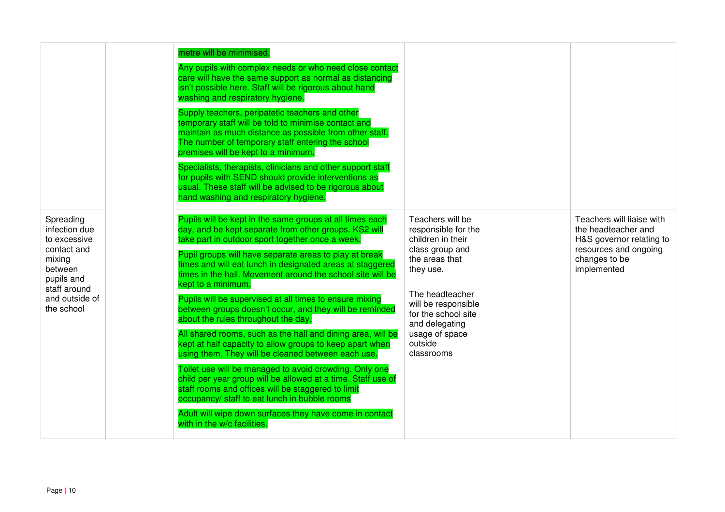|                                                                                                                                              |  | metre will be minimised.<br>Any pupils with complex needs or who need close contact<br>care will have the same support as normal as distancing<br>isn't possible here. Staff will be rigorous about hand<br>washing and respiratory hygiene.<br>Supply teachers, peripatetic teachers and other<br>temporary staff will be told to minimise contact and<br>maintain as much distance as possible from other staff.<br>The number of temporary staff entering the school<br>premises will be kept to a minimum.<br>Specialists, therapists, clinicians and other support staff<br>for pupils with SEND should provide interventions as<br>usual. These staff will be advised to be rigorous about<br>hand washing and respiratory hygiene. |                                                                                                                                                                                 |                                                                                                                                       |
|----------------------------------------------------------------------------------------------------------------------------------------------|--|-------------------------------------------------------------------------------------------------------------------------------------------------------------------------------------------------------------------------------------------------------------------------------------------------------------------------------------------------------------------------------------------------------------------------------------------------------------------------------------------------------------------------------------------------------------------------------------------------------------------------------------------------------------------------------------------------------------------------------------------|---------------------------------------------------------------------------------------------------------------------------------------------------------------------------------|---------------------------------------------------------------------------------------------------------------------------------------|
| Spreading<br>infection due<br>to excessive<br>contact and<br>mixing<br>between<br>pupils and<br>staff around<br>and outside of<br>the school |  | Pupils will be kept in the same groups at all times each<br>day, and be kept separate from other groups. KS2 will<br>take part in outdoor sport together once a week.<br>Pupil groups will have separate areas to play at break<br>times and will eat lunch in designated areas at staggered<br>times in the hall. Movement around the school site will be<br>kept to a minimum.<br>Pupils will be supervised at all times to ensure mixing<br>between groups doesn't occur, and they will be reminded<br>about the rules throughout the day.                                                                                                                                                                                             | Teachers will be<br>responsible for the<br>children in their<br>class group and<br>the areas that<br>they use.<br>The headteacher<br>will be responsible<br>for the school site | Teachers will liaise with<br>the headteacher and<br>H&S governor relating to<br>resources and ongoing<br>changes to be<br>implemented |
|                                                                                                                                              |  | All shared rooms, such as the hall and dining area, will be<br>kept at half capacity to allow groups to keep apart when<br>using them. They will be cleaned between each use.<br>Toilet use will be managed to avoid crowding. Only one<br>child per year group will be allowed at a time. Staff use of<br>staff rooms and offices will be staggered to limit<br>occupancy/ staff to eat lunch in bubble rooms<br>Adult will wipe down surfaces they have come in contact<br>with in the w/c facilities.                                                                                                                                                                                                                                  | and delegating<br>usage of space<br>outside<br>classrooms                                                                                                                       |                                                                                                                                       |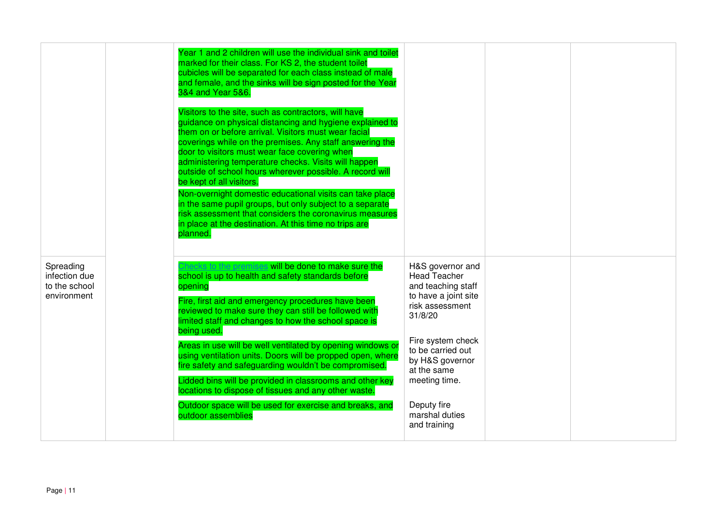|                                                            | Year 1 and 2 children will use the individual sink and toilet<br>marked for their class. For KS 2, the student toilet<br>cubicles will be separated for each class instead of male<br>and female, and the sinks will be sign posted for the Year<br>3&4 and Year 5&6.<br>Visitors to the site, such as contractors, will have<br>guidance on physical distancing and hygiene explained to<br>them on or before arrival. Visitors must wear facial<br>coverings while on the premises. Any staff answering the<br>door to visitors must wear face covering when<br>administering temperature checks. Visits will happen<br>outside of school hours wherever possible. A record will<br>be kept of all visitors.<br>Non-overnight domestic educational visits can take place<br>in the same pupil groups, but only subject to a separate<br>risk assessment that considers the coronavirus measures<br>in place at the destination. At this time no trips are<br>planned. |                                                                                                                                                                                                                                                                   |  |
|------------------------------------------------------------|-------------------------------------------------------------------------------------------------------------------------------------------------------------------------------------------------------------------------------------------------------------------------------------------------------------------------------------------------------------------------------------------------------------------------------------------------------------------------------------------------------------------------------------------------------------------------------------------------------------------------------------------------------------------------------------------------------------------------------------------------------------------------------------------------------------------------------------------------------------------------------------------------------------------------------------------------------------------------|-------------------------------------------------------------------------------------------------------------------------------------------------------------------------------------------------------------------------------------------------------------------|--|
| Spreading<br>infection due<br>to the school<br>environment | the premises will be done to make sure the<br>school is up to health and safety standards before<br>opening<br>Fire, first aid and emergency procedures have been<br>reviewed to make sure they can still be followed with<br>limited staff and changes to how the school space is<br>being used.<br>Areas in use will be well ventilated by opening windows or<br>using ventilation units. Doors will be propped open, where<br>fire safety and safeguarding wouldn't be compromised.<br>Lidded bins will be provided in classrooms and other key<br>locations to dispose of tissues and any other waste.<br>Outdoor space will be used for exercise and breaks, and<br>outdoor assemblies                                                                                                                                                                                                                                                                             | H&S governor and<br><b>Head Teacher</b><br>and teaching staff<br>to have a joint site<br>risk assessment<br>31/8/20<br>Fire system check<br>to be carried out<br>by H&S governor<br>at the same<br>meeting time.<br>Deputy fire<br>marshal duties<br>and training |  |